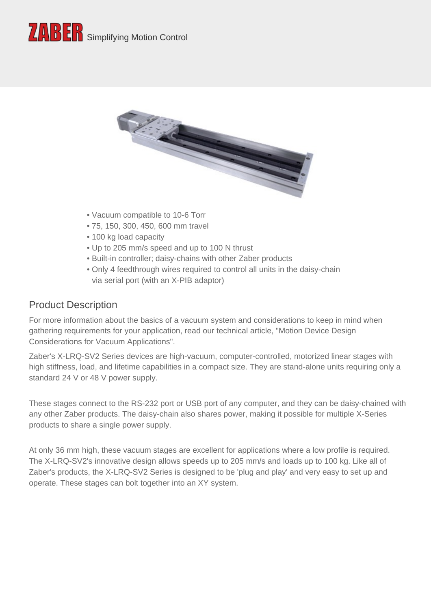



- Vacuum compatible to 10-6 Torr
- 75, 150, 300, 450, 600 mm travel
- 100 kg load capacity
- Up to 205 mm/s speed and up to 100 N thrust
- Built-in controller; daisy-chains with other Zaber products
- Only 4 feedthrough wires required to control all units in the daisy-chain via serial port (with an X-PIB adaptor)

#### Product Description

For more information about the basics of a vacuum system and considerations to keep in mind when gathering requirements for your application, read our technical article, "Motion Device Design Considerations for Vacuum Applications".

Zaber's X-LRQ-SV2 Series devices are high-vacuum, computer-controlled, motorized linear stages with high stiffness, load, and lifetime capabilities in a compact size. They are stand-alone units requiring only a standard 24 V or 48 V power supply.

These stages connect to the RS-232 port or USB port of any computer, and they can be daisy-chained with any other Zaber products. The daisy-chain also shares power, making it possible for multiple X-Series products to share a single power supply.

At only 36 mm high, these vacuum stages are excellent for applications where a low profile is required. The X-LRQ-SV2's innovative design allows speeds up to 205 mm/s and loads up to 100 kg. Like all of Zaber's products, the X-LRQ-SV2 Series is designed to be 'plug and play' and very easy to set up and operate. These stages can bolt together into an XY system.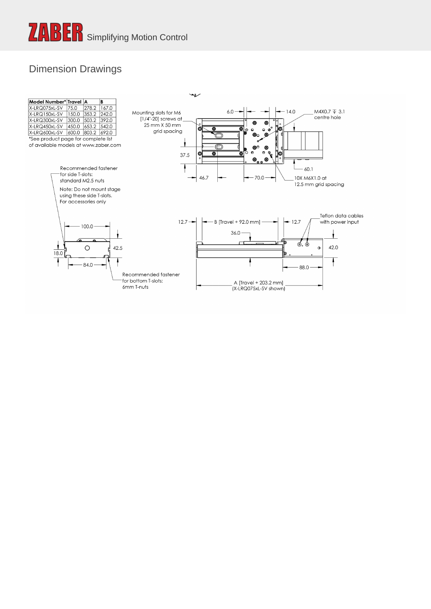#### Dimension Drawings

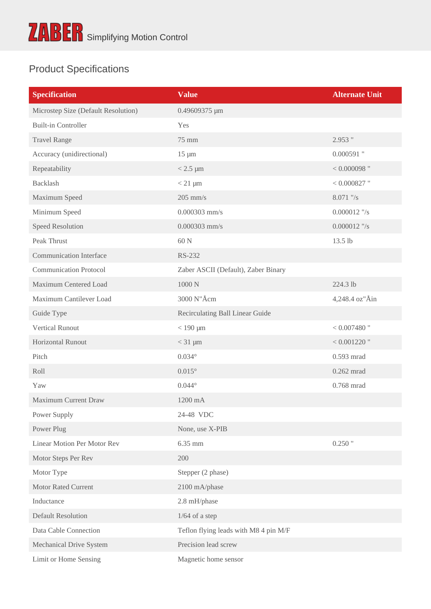## Product Specifications

| <b>Specification</b>                | <b>Value</b>                          | <b>Alternate Unit</b> |
|-------------------------------------|---------------------------------------|-----------------------|
| Microstep Size (Default Resolution) | 0.49609375 µm                         |                       |
| <b>Built-in Controller</b>          | Yes                                   |                       |
| <b>Travel Range</b>                 | 75 mm                                 | 2.953 "               |
| Accuracy (unidirectional)           | $15 \mu m$                            | $0.000591$ "          |
| Repeatability                       | $< 2.5 \mu m$                         | $<0.000098$ "         |
| <b>Backlash</b>                     | $< 21 \mu m$                          | $<0.000827$ "         |
| Maximum Speed                       | $205$ mm/s                            | 8.071 "/s             |
| Minimum Speed                       | $0.000303$ mm/s                       | $0.000012$ "/s        |
| <b>Speed Resolution</b>             | $0.000303$ mm/s                       | $0.000012$ "/s        |
| Peak Thrust                         | 60 N                                  | 13.5 lb               |
| <b>Communication Interface</b>      | RS-232                                |                       |
| <b>Communication Protocol</b>       | Zaber ASCII (Default), Zaber Binary   |                       |
| Maximum Centered Load               | 1000 N                                | 224.3 lb              |
| Maximum Cantilever Load             | 3000 N"Å c m                          | 4, 248.4 oz"Åin       |
| Guide Type                          | Recirculating Ball Linear Guide       |                       |
| <b>Vertical Runout</b>              | $<$ 190 $\mu$ m                       | $< 0.007480$ "        |
| <b>Horizontal Runout</b>            | $<$ 31 $\mu$ m                        | $< 0.001220$ "        |
| Pitch                               | $0.034^\circ$                         | $0.593$ mrad          |
| Roll                                | $0.015^{\circ}$                       | $0.262$ mrad          |
| Yaw                                 | $0.044^\circ$                         | 0.768 mrad            |
| Maximum Current Draw                | 1200 mA                               |                       |
| Power Supply                        | 24-48 VDC                             |                       |
| Power Plug                          | None, use X-PIB                       |                       |
| <b>Linear Motion Per Motor Rev</b>  | 6.35 mm                               | $0.250$ "             |
| Motor Steps Per Rev                 | 200                                   |                       |
| Motor Type                          | Stepper (2 phase)                     |                       |
| <b>Motor Rated Current</b>          | 2100 mA/phase                         |                       |
| Inductance                          | 2.8 mH/phase                          |                       |
| <b>Default Resolution</b>           | $1/64$ of a step                      |                       |
| Data Cable Connection               | Teflon flying leads with M8 4 pin M/F |                       |
| Mechanical Drive System             | Precision lead screw                  |                       |
| Limit or Home Sensing               | Magnetic home sensor                  |                       |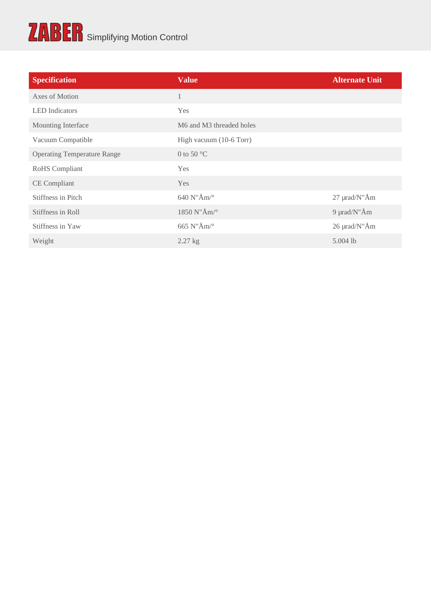# ZABER Simplifying Motion Control

| <b>Specification</b>               | <b>Value</b>             | <b>Alternate Unit</b>     |
|------------------------------------|--------------------------|---------------------------|
| Axes of Motion                     |                          |                           |
| <b>LED</b> Indicators              | Yes                      |                           |
| Mounting Interface                 | M6 and M3 threaded holes |                           |
| Vacuum Compatible                  | High vacuum (10-6 Torr)  |                           |
| <b>Operating Temperature Range</b> | 0 to 50 $^{\circ}$ C     |                           |
| RoHS Compliant                     | Yes                      |                           |
| CE Compliant                       | Yes                      |                           |
| Stiffness in Pitch                 | 640 N'Å m/ $^{\circ}$    | $2.7~\mu$ r a d $/$ N"Å m |
| Stiffness in Roll                  | $1850$ N"Å m/ $^{\circ}$ | 9 $\mu$ rad/N"Åm          |
| Stiffness in Yaw                   | 665 N'Å m/ $^{\circ}$    | $26 \mu$ rad/N"Åm         |
| Weight                             | $2.27 \text{ kg}$        | $5.004$ lb                |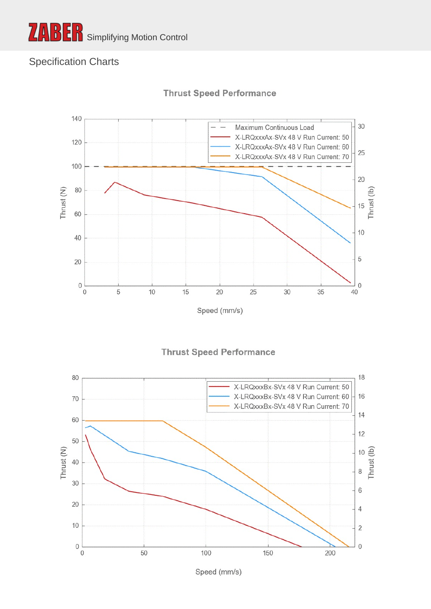

### Specification Charts



**Thrust Speed Performance** 





Speed (mm/s)